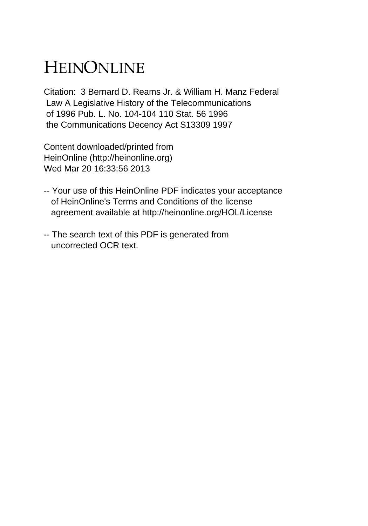## HEINONLINE

Citation: 3 Bernard D. Reams Jr. & William H. Manz Federal Law A Legislative History of the Telecommunications of 1996 Pub. L. No. 104-104 110 Stat. 56 1996 the Communications Decency Act S13309 1997

Content downloaded/printed from HeinOnline (http://heinonline.org) Wed Mar 20 16:33:56 2013

- -- Your use of this HeinOnline PDF indicates your acceptance of HeinOnline's Terms and Conditions of the license agreement available at http://heinonline.org/HOL/License
- -- The search text of this PDF is generated from uncorrected OCR text.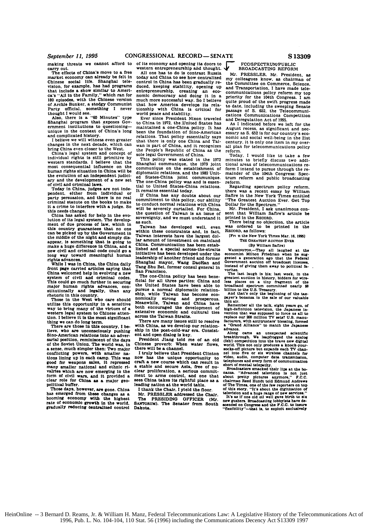$September 11, 1995$ 

making threats we cannot afford to

carry out. The effects of China's move to a free market economy can already be felt in Chinese social life. Shanghai television, for example, has had programs that include a show similar to **Ameri**ca's "All in the Family." which ran for **180** episodes, with the Chinese version **of** Archie Bunker, a stodgy Communist

Party official, something I never<br>thought I would see.<br>Also, there is a "60 Minutes" type<br>Shanghai program that exposes Gov-<br>ernment institutions to questioning—<br>unique in the context of China's long<br>and complicated histor

changes in the next decade, which can bring China even closer to the West. China's legal system and concept of

individual rights is still primitive **by** western standards. I believe that the

human rights situation in China will be<br>the evolution of an independent judici-<br>ary and the development of a new set<br>of civil and criminal laws.<br>of civil and rights of columnation<br>pendent, either from individual or<br>pendent the middle of the middle of the night and simple make a huge difference in China, and a new civil and criminal code could go a long way toward meaningful human rights advances.

rights advances. While **I** was in China, the China daily front page **carried** articles saying that system of civil and criminal codes.<br>This could go much further in securing major human rights advances, con-

stitutionally and legally, than any<br>retoric in this country.<br>Those in the West who care should<br>ufflice this opportunity in a sensitive<br>way to bring many of the virtues of a<br>western legal system to Chinese atten-<br>tion. I be

there, who are unconsciously pushing Sino-American relations into an adver-<br>sarial position, reminiscent of the days<br>of the Soviet Union. The world was, in of the Soviet Union. The world was. **in <sup>a</sup>**sense, much simpler then: Two major conflicting powers, with smaller na-<br>tions lining up in each camp. This was<br>good for weapons sales, it repressed<br>many smaller national and ethnic ri-<br>valries which are now emerging in the values which are now emerging in the clear role for China **as a** major geo-political buffer.

has emerged from these changes as a booming economy with the highest rate **of** economic growth in the world. gradually reducing bentralized control

Ished and a special across-the-straits WASHNGTON.--They all laughed at the intitative has been developed under the economis Milion Friedman when he such Shangplai may to political fa- San Francisco. Wang DaoBHan and Govern

The one-China policy has been bene-<br>reacest auction in history, bidders for wire-<br>the United States have been able to broadcand spectrum committed nearly<br>the United States have been able to broadcand spectrum committed nea

The method and the set of the same of the same of the same of the same of the same of the same of the same of the same of the same of the same of the same of the same of the same of the same of the same of the same of the

The PRESIDING OFFICER (Mr. It's as if one old oil well gave birth to six<br>SANTORUM). The Senator from South accorded on Congress and the P.C.C. to insure<br>Dakota. "flexibility"--that is, to exploit exclusively

of its economy and opening its doors to  $\sim$  BROSSECTRUM-PUBLIC and on the state and contains and contains and the state of the contains and one of the state of the contains and one of the state of the contains and one of

nomically strong and prosperous. The scale of our valuation control Meanwhile, Talwan and China have Remember all the talk, eight years go, of both encouraged the development of high-definition television, the Japanese in

Who cannot are a consisting to the constant and open dialog is key.<br>
Although the post-cold-war era. Consisting came an unexpected scientific<br>
ent and open dialog is key.<br>
President Jiang cold me of an old (rehi) competiti

HeinOnline -- 3 Bernard D. Reams, Jr. & William H. Manz, Federal Telecommunications Law: A Legislative History of the Telecommunications Act of 1996, Pub. L. No. 104-104, 110 Stat. 56 (1996) including the Communications Decency Act S13309 1997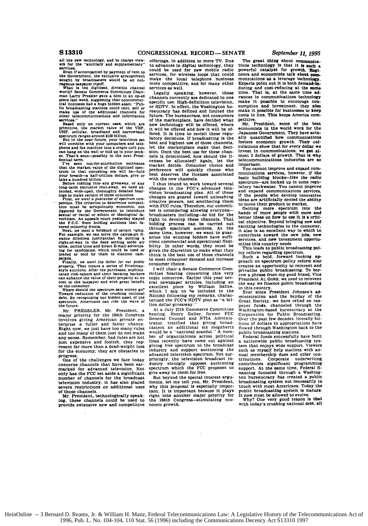**all** the **new** technology, and to charge view-era for the "ancillary **and** supplementary"

**services.** Even **If** accompanied **by** payment of rent to the Government. **the** exclusive arrangement sought by broadcasters would be an out-

rageous taxpayer ripoff. **What is** the **digitized,** divisible channel worth? Senate Commerce Committee Chairman Larry Pressler gave a hint in **an** op-ed **piece** last week. suggesting that noncommer-cial **licensees** had **a** huge hidden asset: **"Public** broadcasting stations could rent, sell or **make** use of the additional channels for other telecommunications and information services."<br>Based only on current uses, which

Based only on current uses, which are<br>primitive, the market value of the VHF.<br>DHF, cellular, broadband and narrowband<br>poetrum ranges around \$120 billion.<br>But in the near future, your television set<br>will combine with your c

can hang on the **wall** or fold up in your pock-**et.** That's soon-possibly in the next Presi-

dential term.<br>I've seen not-for-attribution estimates<br>that the market value of the digitized spectrum in that onrushing era will be-hold<br>your breath-a half-trillion dollars, give or<br>take a hundred billion.<br>Before rushing i

long-term exclusive rent-away, we need extended, wide-open, thoroughly debated hearings to make certain of three outcomes:<br>First, we want a guarantee of spectrum com-<br>First, we want a guarantee of spectrum com-<br>petition. T

tion must be scrupulously economic, not<br>jiggered by the Government to introduce<br>sexual or racial or ethnic or ideological fa-<br>voritism. An appeals court yesterday stayed<br>the F.C.C. from holding auctions that favored minority fronts. Next. *we want* a *holdback of certain -ights.*

For example, we can solve the campaign finance dilemma justilise<br>that by putting a signal right-of-way in the deed setting saide air<br>tight-of-way in the deed setting saide air<br>time, online time and direct E-mail advertis-<br>

paigns.<br>Finally, we want top dollar for our public<br>property. That means a series of Friedman-<br>style auctions. After the purchases, sophisti-<br>cated risk-takers and their banking backers<br>can enhance the value of their proper cost to the taxpayer and with great benefit

to the consumer. Where should the spectrum-sale money **go?** Toward reduction **of** the crushing national debt. **By** recognizing our hidden asset of the spectrum, Americans can ride the **wave** of the future.

Mr. PRESSLER. *Mr.* President. a **major** priority for the 104th Congress involves giving American private **en-**terprise a fuller and fairer chance. Right now, we just have too many rules and too many of them just do not make any sense. Remember. bad rules are not just expensive and foolish, they rep-resent far more than a dead-weight loss for the economy; they are obstacles to progress

One of the challenges we face today concerns channels that have been earmarked for advanced television. Not only has the **FCC** set aside a significant number of channels for the broadcast television industry. it has also placed severe restrictions on additional uses of those channels.

**Mr.** President. technologically speaking, these channels could be used to provide extensive new and competitive

offerings, In addition to more TV. Due to advances in digital technology, they could be used for new mobile radio services, for wireless loops that could make the local telephone business more competitive, and for many other services as well.

Legally speaking, however, these channels currently are dedicated to one specific use: High-definition television. or HDTV. In effect, the Washington bureaucracy has defined and limited the future. The bureaucrats, not consumers of the marketplace, have decided what new technology will be offered, where it will be offered and how it will be **of**fered. It is time to revisit these regulatory decisions. **If** broadcasting is the best and highest use of those channels. let the marketplace make that **deci**sion. Once the best use for these channels is determined, how should the licenses be allocated? Again, let the market decide. Consumer choice and preference will quickly choose who best deserves the licenses associated with the new channels.

I thus intend to work toward several changes in the FCC's advanced television broadcasting plan. **All** of these changes are geared toward unleashing creative powers, not smothering them with **FCC** rules. Therefore. our committee is considering allowing everyone-broadcasters Including-to **bid** for the right to develop these channels. That<br>bidding process can be carried out can be carried out<br>im auctions. At the through spectrum auctions. **same** time. however, we want to guar-antee the winning bidders have sufficient commercial and operational flexibility. In other words, they must be given the discretion to make what they think is the best use of those channels to meet consumer demand and increase consumer choice.

I will chair a Senate Commerce Committee hearing concerning this very topic tomorrow. Earlier this year several newspaper articles, including an<br>excellent piece by William Safire.<br>which I ask to he included in the<br>RECORD following my remarks, characterized the FCC's HDTV plan as **"a** billion dollar giveaway.'

At a July 27th Commerce Committee hearing. Henry Geller, former **FCC**<br>General Counsel and NTIA Adminis-<br>trator. testified that giving broad-<br>casters an additional six megahertz<br>would be a "national scandal." A number of organizations across political lines recently have come out against giving free spectrum to the broadcast<br>industry and support auctioning the industry and deprive the advanced television spectrum. Not surprisingly, the television broadcast in-dustry strongly opposes auctioning spectrum which the **FCC** proposes to give away to them for free.

But beyond the special interest **argu**ments, let me tell you. Mr. President, why this proposal is especially important. It is important because it **plays** right into another major priority for the 104th Congress--stimulating economic growth.

 $\ddot{\phantom{a}}$ 

The great thing about 0Ommunica-**tions** technology **Is** that it **Is such** a powerful catalyst for growth. **"Engi-**neere and economists talk about communications as **a** leverage technology. Experts point out it is both demand-ta. ducing and cost-reducing at the **same** time. That **is.** at the same time advances in communications technology make it possible to encourage con-sumption and investment, they also make it possible for businesses to keep costs in line. **This** keeps America competitive.

Mr. President, **some of** the best economists in the world work for the Japanese Government. They have actually quantified how communications fosters economic growth. Their calculations show that for every dollar we invest in communications, we get al-most **3** dollars of growth. That is why telecommunications industries are so important.

You cannot improve and expand **com**munications services, however, if the<br>basic building blocks-like the radio spectrum--are locked up in some regu-latory backwater. You cannot improve and expand communications services, if the people who develop innovative ideas are artificially denied the ability

to move their product to market. Getting more spectrum into the hands of more people with more and better ideas on **how** to use It **is a** critical objective. Beyond bringing new and exciting technologies to the consumer. it also **is** an excellent way in which to contribute toward the new jobs, n services, and new investment opportunities this country needs.<br>This leads to public broadcasting pol-

icy reform regarding spectrum. Such a bold, forward looking ap-proach on spectrum policy reform also creates an opportunity to reinvent and privatize public broadcasting. To borrow **a** phrase from my good friend, Vice President AL **GORE.** we need to reinvent the way we finance public broadcasting

in this country. Ever since President Johnson's ad-ministration and the heyday of the Great Society, we have relied on tax- payer funds, channeled through the Washington-based bureaucracy at the Corporation for Public Broadcasting. Over the past few decades, literally bil- lions of dollars in appropriations have flowed through Washington back to the public broadcasting stations.

Federal funds successfully have built a nationwide public broadcasting system that enjoys wide support. Viewers such as myself help stations with annual membership dues and other tributions. Corporate underwriting contributes significant programming support. At the same time, Federal **fi-**nancing funneled through a Washington bureaucracy has created a public broadcasting system not necessarily in touch with most Americans. Today public broadcasting system is mature.<br>It now must be allowed to evolve.

Why? One very good reason is that with today's crushing national debt. all

HeinOnline -- 3 Bernard D. Reams, Jr. & William H. Manz, Federal Telecommunications Law: A Legislative History of the Telecommunications Act of 1996, Pub. L. No. 104-104, 110 Stat. 56 (1996) including the Communications Decency Act S13310 1997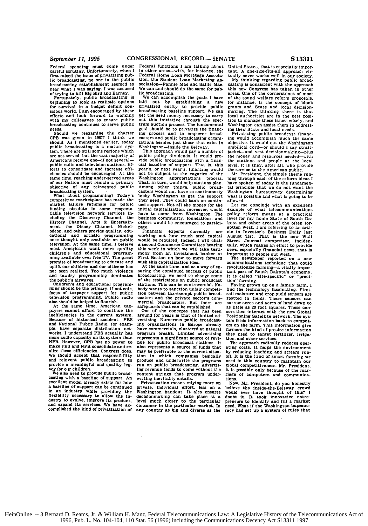Federal spending must come under careful scrutiny. Unfortunately, when I first raised the issue **of** privatizing public broadcasting, no one in the public broadcasting establishment seemed to hear what **I** was aaying. I was accused<br>of trying to kill Big Bird and Barney.<br>Fortunately, public broadcasting<br>beginning to look at realistic options

for survival in a budget deficit con-scious world. **I** am encouraged by these efforts and look forward to working with my colleagues to ensure public broadcasting continues to serve public<br>needs.

needs. Should we reexamine the charter CPB was given in **1967? I** think we should. As **I** mentioned earlier, today public broadcasting is a mature sys-<br>tem. There are still some regions which are not served, but the vast majority of<br>Americans receive one-if not severalpublic radio and television stations. Efforts to consolidate and increase effi-<br>ciencies should be encouraged. At the clencles should be encouraged. At the same time, reaching under-served areas of our Nation must remain a primary objective of any reinvented public<br>broadcasting system.

broadcasting system. What about programming? Today's competitive marketplace has made the market failure rationale for public<br>funding obsolete in some respects. funding obsolete in some respects.<br>Cable television network services in-<br>cluding the Discovery Channel, the<br>History Channel, Arts & Entertain-<br>ment, the Disney Channel, Nickel-<br>odeon, and others provide quality, edu-<br>catio most Americans want more quality children's and educational programchildren's and educational program-<br>ming available over free TV. The great<br>promise of broadcasting to educate and promise or broadcasting to educate and our citizens has not been realized. Too much violence and tawdry programming dominates

and awary programming commases<br>the public's airwaves.<br>Thildren's and educational programming<br>should be the primary, if not sole,<br>focus of taxpayer support for public<br>also should be helped to flourish.<br>At the same time, Ame

inefficiencies in the current system.<br>Because of historical accident. PBS<br>and National Public Radio, for exam-<br>ple, have separate distribution net-<br>works. I understand PBS actually has<br>more audio capacity on its system tha

provide a meaningful and quality leg-<br>acy for our children.<br>We also need to provide public broad-<br>casting with a baseline of support. An<br>excellent model already exists for how in an industry while providing the flexibility necessary to allow the **In-** dustry to evolve. improve its product, and expand its services. We have ac-complished the kind **of** privatization of

Federal functions I am talking about<br>In other areas—with, for instance, the<br>Federal Home Loan Mortgage Association, the Student Loan Marketing Association—Fannie Mae and Sallie Mae.<br>We can amd should do the same for pub-<br>l

We can accomplish the goals **I have laid out by** establishing a new privatized entity to provide public broadcasting baseline support. We can section and morey necessary to carry<br>get the seed money necessary to carry<br>out this initiative through the spec-<br>trum auction process. The fundamental<br>goal should be to privatize the financ-<br>casters and public broadcasting

Washington appropriations process.<br>That. in turn, would help stations plan. Among other things, public broad- casters would not have to continuously Lobby Washington to get the support<br>they need. They could bank on continued support. Not all the money for the they need. They could bank on contin-<br>ued support. Not all the money for the<br>initial capitalization, moreover, would<br>have to come from Washington. The business community, foundations, and others would be encouraged to particiothers would be encouraged to partici-<br>pate.<br>Financial experts currently are

Financial experts currently are<br>working out how much seed capital<br>would be required. Indeed, I will chair a second Commerce Committee hearing<br>this week in which we will take testi-<br>mony from an investment banker at<br>First Booston on how to move forward<br>with this capitalization idea.<br>At the same time, and as a way of en-<br>suring

of the restrictions on public broadcast<br>stations. This can be controversial. No-<br>body wants to sanction unfair competition<br>body wants to sanction unfair competi-<br>tion between tax-exempt public broad-<br>casters and the privat

ing organizations in Europe already have commercials, clustered at natural program breaks. Limited advertising represents a significant source of reve- nue for public broadcast stations. It also represents a source of funds that also represents a source of funds that may be preferable to the current situation in which companies basically produce and underwrite the programs produce and underwrite the programs run on public broadcasting. Advertis- ing revenue tends to come without the content strings that program under-<br>writing inevitably entails.<br>Privatization means relying more on

private, individual effort, less on a Washington handout. It also ensures decisionmaking can take place at a decisionmaking can take place at a level much closer to the particular consumer In the particular market. In any country as **big** and diverse as the United States, that is especially impor- tant. **A** one-size-fits-all approach vir- tually never works well in **our** society.

My thinking regarding public broad-<br>casting is consistent with the approach<br>this new Congress has taken in other<br>areas. One of the correstores of most<br>of the sound welfare reform proposals,<br>for instance. is the concept of

ing would accomplish much the same<br>objective. It would cut the Washington<br>umbilical cord-or should I say strait-<br>jacket-and vest decisionmaking-plus<br>the money and resources needed—with the stations and people at the local level. It is they. after all, who provide

the service to the American public.<br>Mr. President, the simple theme run-<br>ning through each of the reform ideas I have spoken of today is the fundamen-<br>
tal principle that we do not want the<br>
Washington bureaucracy determining<br>
what is possible and what is going to be<br>
allowed.

Let me conclude with an excellent example of what telecommunications policy reform means at a practical<br>level for my home State of South Da-Focal and other areas of the often for-<br>received by contained the distribution of gotten West. I am referring to an arti-<br>cle in Investor's Business Daily last<br>August 31st. That is the new Wall Street Journal competitor, i

nine we commonly reactionary. Thus, and the commonly solid method in fields. These sensors can narrow acres and acres of land down to as little as 20 foot squares. These censors then interact with the new Global Constituti

The approach radically reduces operating costs. It helps the environment<br>by reducing leaching and stream run-<br>off. It is the kind of smart farming we<br>need in this country to maintain our it **is** possible only because **of** the mar- riage **of** computers and communications.

Now. Mr. President. do you honestly believe the inside-the-Beltway crowd would ever have thought of this? **<sup>I</sup>** doubt it. It took innovative entre-preneurs to Identify and **fill** a market need. What **If** the Washington bureaucracy **had** set up a system of rules that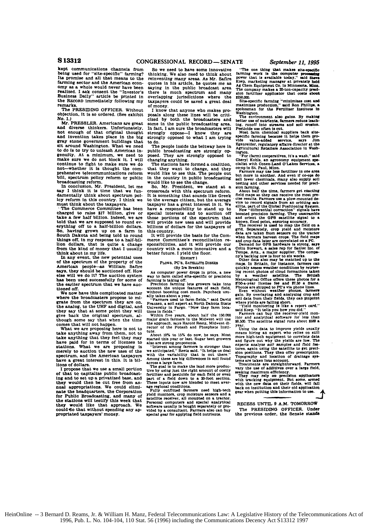kept communications channels from being used for "site-specific" farming? Its promise and all that means to the farming sector and the American econfarming sector and the American econ-<br>omy as a whole would never have been<br>**Paulized.** I ask consent the "Investor"s<br>Business Daily" article be printed in<br>the RECORD immediately following my the RECORD immediately following my<br>remarks.

The PRESIDING OFFICER. Without objection, it is so ordered. (See exhibit **NO. 1.)** Mr. PRESSLER. Americans are great

and diverse thinkers. Unfortunately. not enough of that original thought and Invention takes place in the big gray stone government buildings that sit around Washington. What we need to do is to try to unleash American ingenuity. At a minimum, we need to make sure we do not block it. **I** will continue to fight to make sure we do not-whether it is thought the com-<br>prehensive telecommunications reform<br>bill. spectrum policy reform or public broadcasting reform. In conclusion, Mr. President, let me

say I think it is time that we fun-<br>damentally think about spectrum policy reform in this country. **I** think we

must think about the taxpayers. **'he** Commerce Committee has been charged to raise **\$17** billion, give or take a few half billion. Indeed, we **are** told that we are supposed to round everything off to a half-billion dollars. So, having grown up on a farm in South Dakota and being told to round things off. in my response to a half-bil-lion dollars, that is quite a change

from the kind of money that I usually<br>think about in my life.<br>In any event, the new potential uses<br>of the spectrum of the property of the<br>American people—as William Saftres<br>asys, they should be auctioned off. How else will we do it? The auction system has been used successfully for some of the earlier spectrum that we have auc-

We now have this complicated matter<br>where the broadcasters propose to mi-<br>grate from the spectrum they are on. grate from the spectrum they are **on,** the analog, to the **UHF** and digital. and they say that at some point they will give back the original spectrum, although some say that when the time comes that will not happen. What we are proposing here is not to take anything away from them. not to

take anything that they feel they may have paid for in terms of licenses to stations. What we are proposing is merely to auction the new uses of the stations. What we are proposing is<br>merely to auction the new uses of the<br>spectrum, and the American taxpayers have a great interest in this. **It** is billions of dollars. **<sup>I</sup>**propose that we use a small portion

of that to capitalize public broadcasting and to set up a privatised base, and they would then be cut free from an**nual** appropriations. We could elimi- nate the headquarters, the Corporation for Public Broadcasting, and many of the stations will testify this week that they would like that approach. We they would like that approach. We could do that without spending any appropriated taxpayers' money.

**So** we need to have some innovative thinking. We also need to think about reinventing many areas. As Mr. Safire<br>quotes in his article, he quotes me as saying in the public broadcast area there is much spectrum and many<br>overlapping jurisdictions where the overlapping jurisdictions where the taxpayers could be saved a great deal of money.

I know that anyone who makes pr posals along these lines will be criticized **by** both the broadcasters and some in the public broadcasting area.<br>In fact, I am sure the broadcasters will<br>strongly oppose-I know they are -I know they strongly opposed to what I am trying to do.

The people inside the beltway here in public broadcasting are strongly op-posed. They are strongly opposed to changing anything. The stations have formed a coalition,

that they want to change, and they would like to see this. The people out in the country in public broadcasting would like to see the change.

So, Mr. President. we stand at a crossroads with this spectrum reform.<br>It is something that sounds like Greek **It is** something that sounds like Greek to the average citizen, but the average taxpayer has a great interest in it. We have a responsibility to stand up to special interests and to auction **off** those portions of the spectrum that will provide new uses and will provide billions of dollars for the taxpayers **of** this country. It will provide the basis for the Com-

merce Committee's reconciliation recountry with a more innovative and a better future. **I** yield the floor.

## ExHisrr **1**

**PLOWS. PC'S. SATELLrrE DISHES (By Ira** Breskin)

As computer power drops in price, a new way to farm called site-specific or precision farming ist alleg off.<br> **Frecision** farming is taking off.<br> **Precision** farming is taking off.<br> **As account the unique features of each** 

farming is taking off.<br>
Precision farming lets growers take into<br>
Precision farming lets growers take into<br>
without boosting cost mech. Paycheck usu-<br>
"Pammers used to farm field," said David<br>
"Prammers used to farm field,

"About 10% to 15% do now, he says. Most<br>atarted this year or last. Sugar beet growers<br>also are strong proponents.<br>"Interest among farmers is stronger than<br>we anticipated," Reetz said. "It helps us deal<br>Armor the variabilit

Fully a settlement and puts of a field down to a 20-foot section.<br>These inputs now are blended to meet aver-<br>age regional conditions.<br>**Fully** outfitted farmers need high-tech<br>statellite receiver, all mounted on a tractor.

yield monitors, crop moisture sensors and a<br>satellite receiver, all mounted on a tractor<br>Personal computers and special analytical<br>software usually is bought separately or pro-<br>vided by a consultant. Farmers also can buy<br>s

**"The one thing that makes site-specific**<br>farming work is the computer processing<br>power that is available today." said Bieve KOep. marketing manager at privately **held Ag** Chem Equipment **Co.** in Minnesota. **Mim.** The company makes a 20-ton-capacity prec-**slo** fertilizer applicator that costs **about**

\$250.000.<br>Site-specific farming "minimizes cost and<br>maximizes production." said Ron Phillips. a<br>spokesman for the Fertilizer Institute in<br>Washington.

The environment also gains. By making better use **of** nutrients, farmers reduce leach-ing, runoff into streams **and** soil eroslon. Pesticide **use** often **is** cut. Most farm chemical suppllers **back** site-

**specific** farming because it helps them **pro-**vide value-added service, **says** Jim Egenreider, regulatory **affairs** director at the Agricultural Retailers Association **in** Wash-

**ington.** "For **(farm)** cooperatives, it's a wash." **said** Cheryl Kohls. an agronomy equipment **spe-**cialist with Conex-Lamd O'Lakes Services. a

**coop in St.** Paul, Minn. **Farmers may** use **lesw** fertilizer *in* **one** area but more is another. And even **if** co-ope **do** sell fewer chemicals, many also supply **soil**

testing and other services needed for precision farming.<br>It is about half the time, farmers get exacting<br>field maps so they can receive the most pre-<br>cise results. Farmers use a plow-mounted de-<br>vice to record signals from elite, part of the Global Positioning System.<br>New "differential correction" signals have<br>boosted precision farming. They unscramble<br>and orient the GPS satellite signal to a<br>known, fixed point, ensuring securacy.<br>The receiv

grid. Separately, crop yield and moisture<br>data are taken from sensors on the tractor<br>when farmers harvest crops. The field maps<br>and crop data later are correlated on a FC.<br>Demand for GPS hardware is strong, says

Colin Stewart, a sales rep for Satloc Inc. of<br>Temps. Aris., a major supplier. The comparing backlog now is four to six weeks.<br>Other data also may be matched up to the<br>maps. In Britain, for instance, farmers can quickly assess weather conditions by retrieving recent photos of cloud formations taken<br>by a weather satellite. The British<br>Metrological Office offers these photos for a<br>fibe-year license fee and 37.90 a frame.<br>Fibo-year l

Even without weather photos, farmers<br>gain. By overlaying and analyzing crop and<br>soil data from their fields, they can pinpoint<br>where yields are failing short.<br>"Yield monitoring is like a report card."<br>"Yield monitoring is

year.<br>
Using the data to improve yields usually<br>
means hiring an expert who relies on atill<br>
more high-tech equipment to correlate data<br>
and figure out why the yields are low. The<br>
experts analyze soil amples and floid fea

tema are taken into account.<br>The are straightforward. Parmers<br>The use of additives over a large field,<br>They may rely on precision applicators<br>They may rely on precision applicators<br>with tracking equipment. But some, armed<br>

**RECESS UNTIL 9 A.M. TOMORROW** The PRESIDING OFFICER. Under the previous order, the Senate stands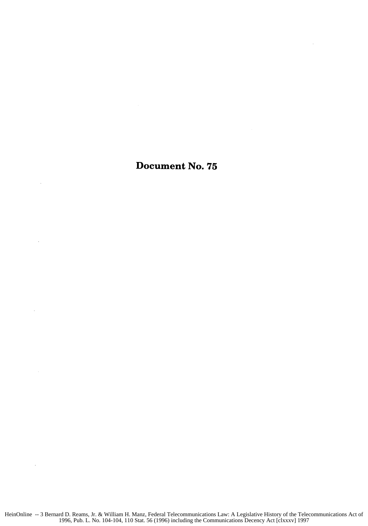## Document No. **75**

 $\bar{z}$ 

 $\overline{a}$